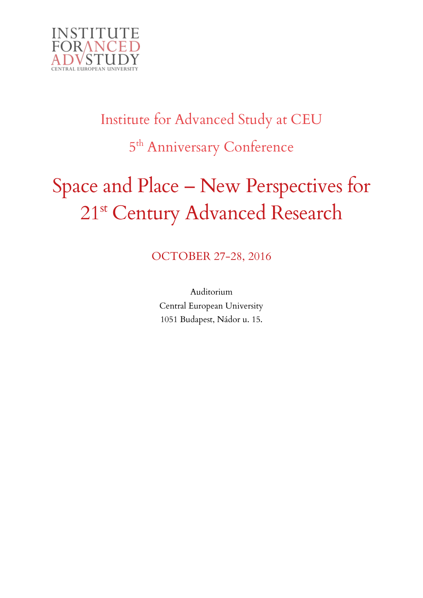

# Institute for Advanced Study at CEU 5<sup>th</sup> Anniversary Conference

# Space and Place – New Perspectives for 21<sup>st</sup> Century Advanced Research

OCTOBER 27-28, 2016

Auditorium Central European University 1051 Budapest, Nádor u. 15.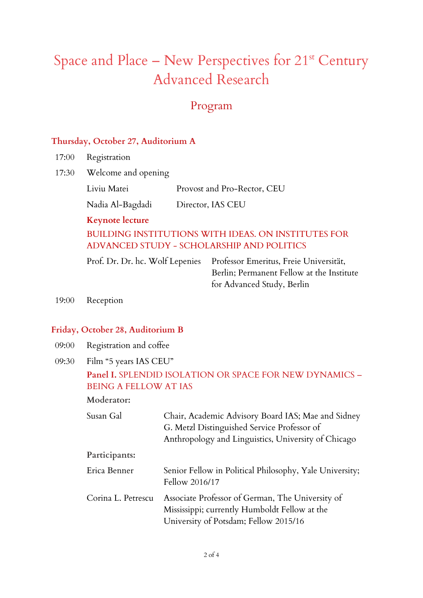# Space and Place – New Perspectives for  $21^{st}$  Century Advanced Research

## Program

#### **Thursday, October 27, Auditorium A**

- 17:00 Registration
- 17:30 Welcome and opening

Liviu Matei Provost and Pro-Rector, CEU

Nadia Al-Bagdadi Director, IAS CEU

**Keynote lecture**

BUILDING INSTITUTIONS WITH IDEAS. ON INSTITUTES FOR ADVANCED STUDY - SCHOLARSHIP AND POLITICS

Prof. Dr. Dr. hc. Wolf Lepenies Professor Emeritus, Freie Universität,

Berlin; Permanent Fellow at the Institute for Advanced Study, Berlin

19:00 Reception

### **Friday, October 28, Auditorium B**

- 09:00 Registration and coffee
- 09:30 Film "5 years IAS CEU"

### **Panel I.** SPLENDID ISOLATION OR SPACE FOR NEW DYNAMICS – BEING A FELLOW AT IAS

**Moderator:** 

| Susan Gal          | Chair, Academic Advisory Board IAS; Mae and Sidney<br>G. Metzl Distinguished Service Professor of<br>Anthropology and Linguistics, University of Chicago |
|--------------------|----------------------------------------------------------------------------------------------------------------------------------------------------------|
| Participants:      |                                                                                                                                                          |
| Erica Benner       | Senior Fellow in Political Philosophy, Yale University;<br>Fellow 2016/17                                                                                |
| Corina L. Petrescu | Associate Professor of German, The University of<br>Mississippi; currently Humboldt Fellow at the<br>University of Potsdam; Fellow 2015/16               |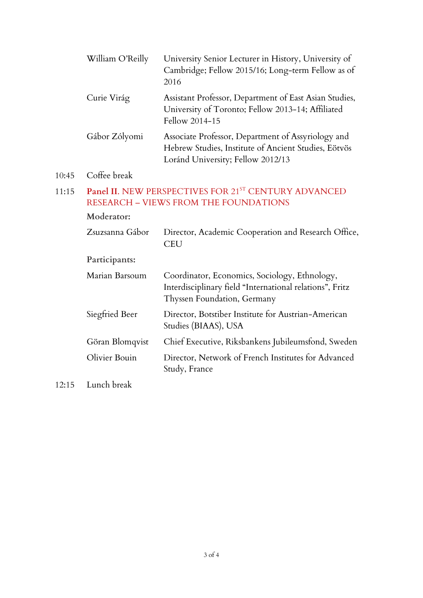|       | William O'Reilly                                                                                     | University Senior Lecturer in History, University of<br>Cambridge; Fellow 2015/16; Long-term Fellow as of<br>2016                               |
|-------|------------------------------------------------------------------------------------------------------|-------------------------------------------------------------------------------------------------------------------------------------------------|
|       | Curie Virág                                                                                          | Assistant Professor, Department of East Asian Studies,<br>University of Toronto; Fellow 2013-14; Affiliated<br>Fellow 2014-15                   |
|       | Gábor Zólyomi                                                                                        | Associate Professor, Department of Assyriology and<br>Hebrew Studies, Institute of Ancient Studies, Eötvös<br>Loránd University; Fellow 2012/13 |
| 10:45 | Coffee break                                                                                         |                                                                                                                                                 |
| 11:15 | Panel II. NEW PERSPECTIVES FOR 21ST CENTURY ADVANCED<br><b>RESEARCH - VIEWS FROM THE FOUNDATIONS</b> |                                                                                                                                                 |
|       | Moderator:                                                                                           |                                                                                                                                                 |
|       | Zsuzsanna Gábor                                                                                      | Director, Academic Cooperation and Research Office,<br><b>CEU</b>                                                                               |
|       | Participants:                                                                                        |                                                                                                                                                 |
|       | Marian Barsoum                                                                                       | Coordinator, Economics, Sociology, Ethnology,<br>Interdisciplinary field "International relations", Fritz<br>Thyssen Foundation, Germany        |
|       | Siegfried Beer                                                                                       | Director, Botstiber Institute for Austrian-American<br>Studies (BIAAS), USA                                                                     |
|       | Göran Blomqvist                                                                                      | Chief Executive, Riksbankens Jubileumsfond, Sweden                                                                                              |

- Olivier Bouin Director, Network of French Institutes for Advanced Study, France
- 12:15 Lunch break